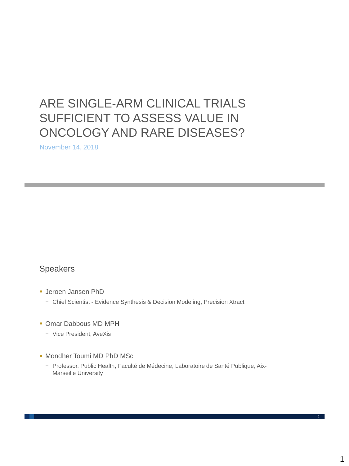# ARE SINGLE-ARM CLINICAL TRIALS SUFFICIENT TO ASSESS VALUE IN ONCOLOGY AND RARE DISEASES?

November 14, 2018

## Speakers

- **Jeroen Jansen PhD** 
	- − Chief Scientist Evidence Synthesis & Decision Modeling, Precision Xtract
- Omar Dabbous MD MPH
	- − Vice President, AveXis
- Mondher Toumi MD PhD MSc
	- − Professor, Public Health, Faculté de Médecine, Laboratoire de Santé Publique, Aix-Marseille University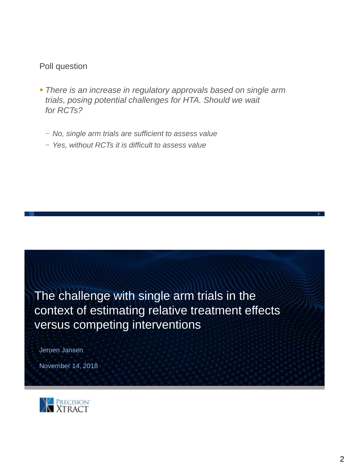## Poll question

- *There is an increase in regulatory approvals based on single arm trials, posing potential challenges for HTA. Should we wait for RCTs?*
	- − *No, single arm trials are sufficient to assess value*
	- − *Yes, without RCTs it is difficult to assess value*



Jeroen Jansen

November 14, 2018

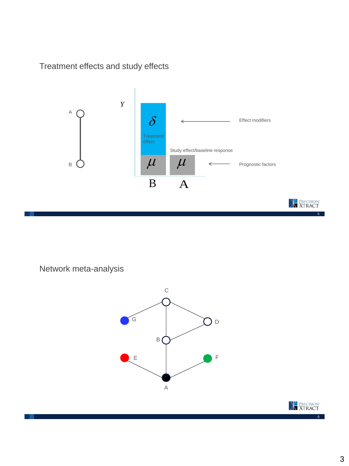Treatment effects and study effects



Network meta-analysis



**X**<br>**XTRACT**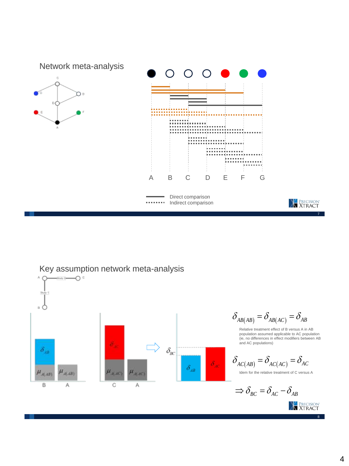



#### 4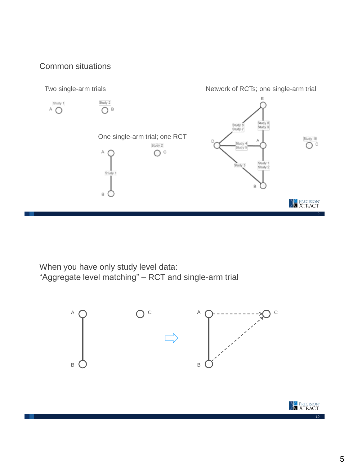## Common situations



When you have only study level data: "Aggregate level matching" – RCT and single-arm trial



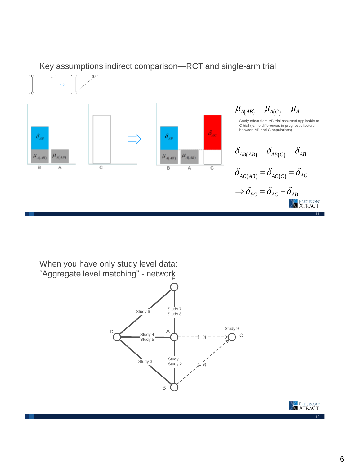



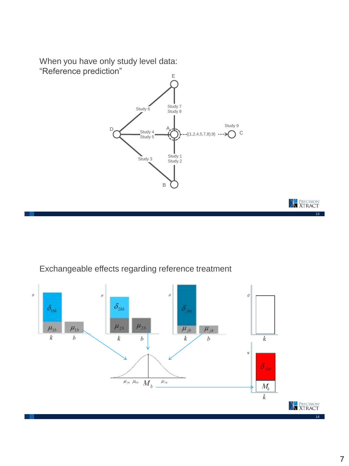When you have only study level data: "Reference prediction"



Exchangeable effects regarding reference treatment



13

**X**<br>**XTRACT**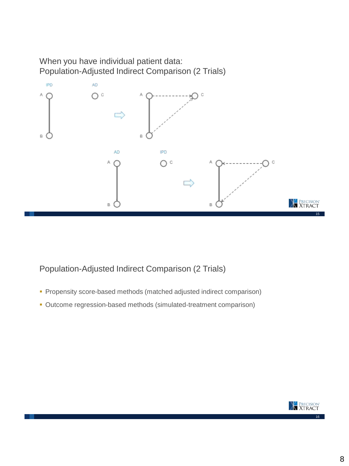When you have individual patient data: Population-Adjusted Indirect Comparison (2 Trials)



Population-Adjusted Indirect Comparison (2 Trials)

- **Propensity score-based methods (matched adjusted indirect comparison)**
- Outcome regression-based methods (simulated-treatment comparison)